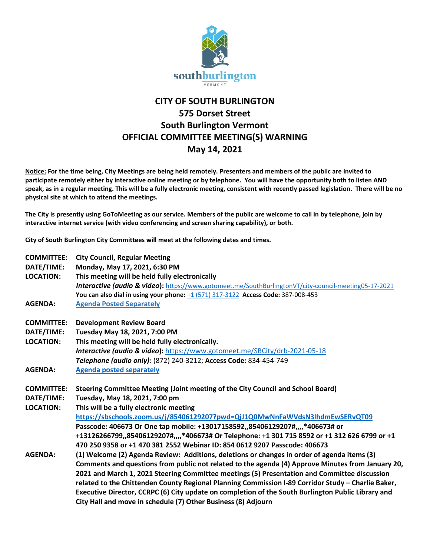

## **CITY OF SOUTH BURLINGTON 575 Dorset Street South Burlington Vermont OFFICIAL COMMITTEE MEETING(S) WARNING May 14, 2021**

**Notice: For the time being, City Meetings are being held remotely. Presenters and members of the public are invited to participate remotely either by interactive online meeting or by telephone. You will have the opportunity both to listen AND speak, as in a regular meeting. This will be a fully electronic meeting, consistent with recently passed legislation. There will be no physical site at which to attend the meetings.** 

**The City is presently using GoToMeeting as our service. Members of the public are welcome to call in by telephone, join by interactive internet service (with video conferencing and screen sharing capability), or both.**

**City of South Burlington City Committees will meet at the following dates and times.** 

| <b>COMMITTEE:</b><br>DATE/TIME:<br><b>LOCATION:</b> | <b>City Council, Regular Meeting</b><br>Monday, May 17, 2021, 6:30 PM<br>This meeting will be held fully electronically |
|-----------------------------------------------------|-------------------------------------------------------------------------------------------------------------------------|
|                                                     | Interactive (audio & video): https://www.gotomeet.me/SouthBurlingtonVT/city-council-meeting05-17-2021                   |
| <b>AGENDA:</b>                                      | You can also dial in using your phone: +1 (571) 317-3122 Access Code: 387-008-453<br><b>Agenda Posted Separately</b>    |
|                                                     |                                                                                                                         |
| <b>COMMITTEE:</b>                                   | <b>Development Review Board</b>                                                                                         |
| DATE/TIME:                                          | Tuesday May 18, 2021, 7:00 PM                                                                                           |
| <b>LOCATION:</b>                                    | This meeting will be held fully electronically.                                                                         |
|                                                     | Interactive (audio & video): https://www.gotomeet.me/SBCity/drb-2021-05-18                                              |
|                                                     | Telephone (audio only): (872) 240-3212; Access Code: 834-454-749                                                        |
| <b>AGENDA:</b>                                      | <b>Agenda posted separately</b>                                                                                         |
| <b>COMMITTEE:</b>                                   | Steering Committee Meeting (Joint meeting of the City Council and School Board)                                         |
| DATE/TIME:                                          | Tuesday, May 18, 2021, 7:00 pm                                                                                          |
| <b>LOCATION:</b>                                    | This will be a fully electronic meeting                                                                                 |
|                                                     | https://sbschools.zoom.us/j/85406129207?pwd=QjJ1Q0MwNnFaWVdsN3lhdmEwSERvQT09                                            |
|                                                     | Passcode: 406673 Or One tap mobile: +13017158592,,85406129207#,,,,*406673# or                                           |
|                                                     | +13126266799,,85406129207#,,,,*406673# Or Telephone: +1 301 715 8592 or +1 312 626 6799 or +1                           |
|                                                     | 470 250 9358 or +1 470 381 2552 Webinar ID: 854 0612 9207 Passcode: 406673                                              |
| <b>AGENDA:</b>                                      | (1) Welcome (2) Agenda Review: Additions, deletions or changes in order of agenda items (3)                             |
|                                                     | Comments and questions from public not related to the agenda (4) Approve Minutes from January 20,                       |
|                                                     | 2021 and March 1, 2021 Steering Committee meetings (5) Presentation and Committee discussion                            |
|                                                     | related to the Chittenden County Regional Planning Commission I-89 Corridor Study - Charlie Baker,                      |
|                                                     | Executive Director, CCRPC (6) City update on completion of the South Burlington Public Library and                      |
|                                                     | City Hall and move in schedule (7) Other Business (8) Adjourn                                                           |